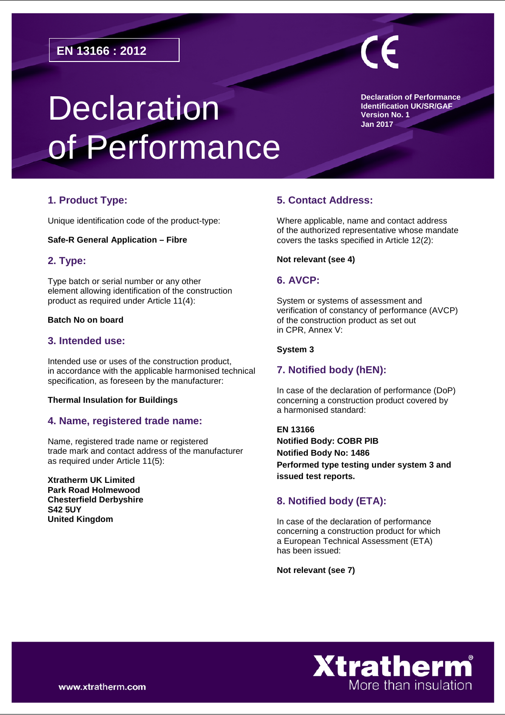# **Declaration** of Performance

**Declaration of Performance Identification UK/SR/GAF Version No. 1 Jan 2017**

# **1. Product Type:**

Unique identification code of the product-type:

#### **Safe-R General Application – Fibre**

# **2. Type:**

Type batch or serial number or any other element allowing identification of the construction product as required under Article 11(4):

# **Batch No on board**

# **3. Intended use:**

Intended use or uses of the construction product, in accordance with the applicable harmonised technical specification, as foreseen by the manufacturer:

#### **Thermal Insulation for Buildings**

# **4. Name, registered trade name:**

Name, registered trade name or registered trade mark and contact address of the manufacturer as required under Article 11(5):

**Xtratherm UK Limited Park Road Holmewood Chesterfield Derbyshire S42 5UY United Kingdom**

# **5. Contact Address:**

Where applicable, name and contact address of the authorized representative whose mandate covers the tasks specified in Article 12(2):

#### **Not relevant (see 4)**

# **6. AVCP:**

System or systems of assessment and verification of constancy of performance (AVCP) of the construction product as set out in CPR, Annex V:

#### **System 3**

# **7. Notified body (hEN):**

In case of the declaration of performance (DoP) concerning a construction product covered by a harmonised standard:

**EN 13166 Notified Body: COBR PIB Notified Body No: 1486 Performed type testing under system 3 and issued test reports.** 

# **8. Notified body (ETA):**

In case of the declaration of performance concerning a construction product for which a European Technical Assessment (ETA) has been issued:

**Not relevant (see 7)**